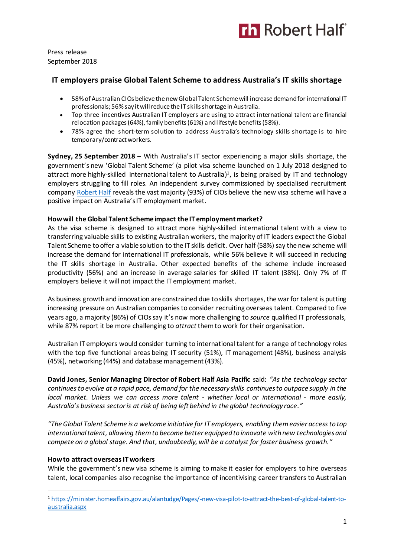

Press release September 2018

## **IT employers praise Global Talent Scheme to address Australia's IT skills shortage**

- 58% of Australian CIOs believe the new Global Talent Scheme will increase demand for international IT professionals; 56% sayit will reduce the IT skills shortage in Australia.
- Top three incentives Australian IT employers are using to attract international talent are financial relocation packages (64%), family benefits (61%) and lifestyle benefits (58%).
- 78% agree the short-term solution to address Australia's technology skills shortage is to hire temporary/contract workers.

**Sydney, 25 September 2018 –** With Australia's IT sector experiencing a major skills shortage, the government's new 'Global Talent Scheme' (a pilot visa scheme launched on 1 July 2018 designed to attract more highly-skilled international talent to Australia)<sup>1</sup>, is being praised by IT and technology employers struggling to fill roles. An independent survey commissioned by specialised recruitment compan[y Robert Half](https://www.roberthalf.com.au/?utm_source=roberthalf&utm_medium=pressrelease&utm_campaign=rh-all-nonspecific-ongoing) reveals the vast majority (93%) of CIOs believe the new visa scheme will have a positive impact on Australia's IT employment market.

#### **How will the Global Talent Scheme impact the IT employment market?**

As the visa scheme is designed to attract more highly-skilled international talent with a view to transferring valuable skills to existing Australian workers, the majority of IT leaders expect the Global Talent Scheme to offer a viable solution to the IT skills deficit. Over half (58%) say the new scheme will increase the demand for international IT professionals, while 56% believe it will succeed in reducing the IT skills shortage in Australia. Other expected benefits of the scheme include increased productivity (56%) and an increase in average salaries for skilled IT talent (38%). Only 7% of IT employers believe it will not impact the IT employment market.

As business growth and innovation are constrained due to skills shortages, the war for talent is putting increasing pressure on Australian companies to consider recruiting overseas talent. Compared to five years ago, a majority (86%) of CIOs say it's now more challenging to *source* qualified IT professionals, while 87% report it be more challenging to *attract* them to work for their organisation.

Australian IT employers would consider turning to international talent for a range of technology roles with the top five functional areas being IT security (51%), IT management (48%), business analysis (45%), networking (44%) and database management (43%).

**David Jones, Senior Managing Director of Robert Half Asia Pacific** said: *"As the technology sector continues to evolve at a rapid pace, demand for the necessary skills continues to outpace supply in the local market. Unless we can access more talent - whether local or international - more easily, Australia's business sector is at risk of being left behind in the global technology race."*

*"The Global Talent Scheme is a welcome initiative for IT employers, enabling them easier accessto top international talent, allowing them to become better equipped to innovate with new technologies and compete on a global stage. And that, undoubtedly, will be a catalyst for faster business growth."* 

## **How to attract overseas IT workers**

 $\overline{a}$ 

While the government's new visa scheme is aiming to make it easier for employers to hire overseas talent, local companies also recognise the importance of incentivising career transfers to Australian

<sup>1</sup> [https://minister.homeaffairs.gov.au/alantudge/Pages/-new-visa-pilot-to-attract-the-best-of-global-talent-to](https://minister.homeaffairs.gov.au/alantudge/Pages/-new-visa-pilot-to-attract-the-best-of-global-talent-to-australia.aspx)[australia.aspx](https://minister.homeaffairs.gov.au/alantudge/Pages/-new-visa-pilot-to-attract-the-best-of-global-talent-to-australia.aspx)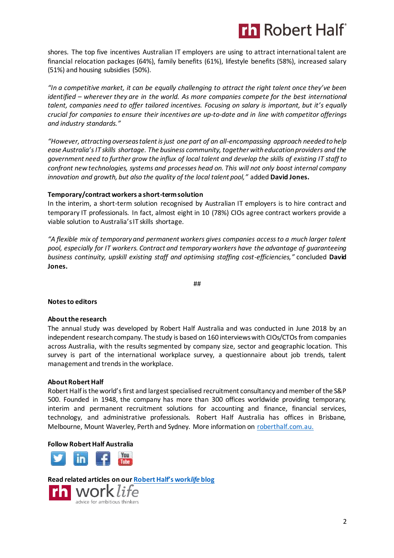# **Th Robert Half**

shores. The top five incentives Australian IT employers are using to attract international talent are financial relocation packages (64%), family benefits (61%), lifestyle benefits (58%), increased salary (51%) and housing subsidies (50%).

*"In a competitive market, it can be equally challenging to attract the right talent once they've been identified – wherever they are in the world. As more companies compete for the best international talent, companies need to offer tailored incentives. Focusing on salary is important, but it's equally crucial for companies to ensure their incentives are up-to-date and in line with competitor offerings and industry standards."*

*"However, attracting overseas talent is just one part of an all-encompassing approach needed to help ease Australia's IT skills shortage. The business community, together with education providers and the government need to further grow the influx of local talent and develop the skills of existing IT staff to confront new technologies, systems and processes head on. This will not only boost internal company innovation and growth, but also the quality of the local talent pool,"* added **David Jones.** 

## **Temporary/contract workers a short-term solution**

In the interim, a short-term solution recognised by Australian IT employers is to hire contract and temporary IT professionals. In fact, almost eight in 10 (78%) CIOs agree contract workers provide a viable solution to Australia's IT skills shortage.

*"A flexible mix of temporary and permanent workers gives companies access to a much larger talent pool, especially for IT workers. Contract and temporary workers have the advantage of guaranteeing business continuity, upskill existing staff and optimising staffing cost-efficiencies,"* concluded **David Jones.** 

##

#### **Notes to editors**

#### **About the research**

The annual study was developed by Robert Half Australia and was conducted in June 2018 by an independent research company. The study is based on 160 interviews with CIOs/CTOs from companies across Australia, with the results segmented by company size, sector and geographic location. This survey is part of the international workplace survey, a questionnaire about job trends, talent management and trends in the workplace.

#### **About Robert Half**

Robert Half is the world's first and largest specialised recruitment consultancy and member of the S&P 500. Founded in 1948, the company has more than 300 offices worldwide providing temporary, interim and permanent recruitment solutions for accounting and finance, financial services, technology, and administrative professionals. Robert Half Australia has offices in Brisbane, Melbourne, Mount Waverley, Perth and Sydney. More information on [roberthalf.com.au.](https://www.roberthalf.com.au/?utm_source=roberthalf&utm_medium=pressrelease&utm_campaign=rh-all-nonspecific-ongoing)

## **Follow Robert Half Australia**



**Read related articles on our [Robert Half's work](https://www.roberthalf.com.au/blog?utm_source=roberthalf&utm_medium=pressrelease&utm_campaign=rh-all-nonspecific-ongoing)***life* **blog**advice for ambitious thinkers